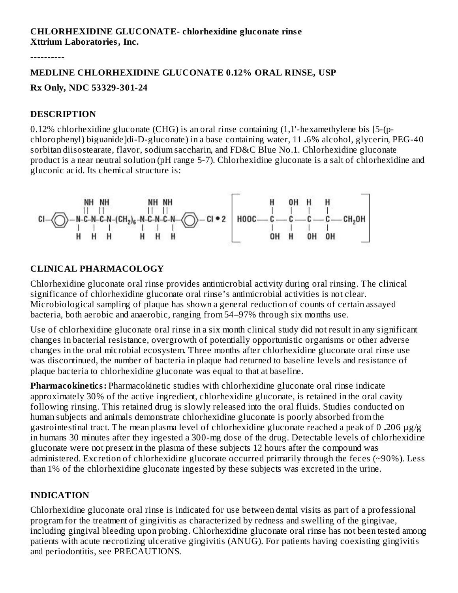----------

# **MEDLINE CHLORHEXIDINE GLUCONATE 0.12% ORAL RINSE, USP Rx Only, NDC 53329-301-24**

#### **DESCRIPTION**

0.12% chlorhexidine gluconate (CHG) is an oral rinse containing (1,1'-hexamethylene bis [5-(pchlorophenyl) biguanide]di-D-gluconate) in a base containing water, 11 **.**6% alcohol, glycerin, PEG-40 sorbitan diisostearate, flavor, sodium saccharin, and FD&C Blue No.1. Chlorhexidine gluconate product is a near neutral solution (pH range 5-7). Chlorhexidine gluconate is a salt of chlorhexidine and gluconic acid. Its chemical structure is:



## **CLINICAL PHARMACOLOGY**

Chlorhexidine gluconate oral rinse provides antimicrobial activity during oral rinsing. The clinical significance of chlorhexidine gluconate oral rinse's antimicrobial activities is not clear. Microbiological sampling of plaque has shown a general reduction of counts of certain assayed bacteria, both aerobic and anaerobic, ranging from 54–97% through six months use.

Use of chlorhexidine gluconate oral rinse in a six month clinical study did not result in any significant changes in bacterial resistance, overgrowth of potentially opportunistic organisms or other adverse changes in the oral microbial ecosystem. Three months after chlorhexidine gluconate oral rinse use was discontinued, the number of bacteria in plaque had returned to baseline levels and resistance of plaque bacteria to chlorhexidine gluconate was equal to that at baseline.

**Pharmacokinetics:** Pharmacokinetic studies with chlorhexidine gluconate oral rinse indicate approximately 30% of the active ingredient, chlorhexidine gluconate, is retained in the oral cavity following rinsing. This retained drug is slowly released into the oral fluids. Studies conducted on human subjects and animals demonstrate chlorhexidine gluconate is poorly absorbed from the gastrointestinal tract. The mean plasma level of chlorhexidine gluconate reached a peak of 0 **.**206 µg/g in humans 30 minutes after they ingested a 300-mg dose of the drug. Detectable levels of chlorhexidine gluconate were not present in the plasma of these subjects 12 hours after the compound was administered. Excretion of chlorhexidine gluconate occurred primarily through the feces (~90%). Less than 1% of the chlorhexidine gluconate ingested by these subjects was excreted in the urine.

## **INDICATION**

Chlorhexidine gluconate oral rinse is indicated for use between dental visits as part of a professional program for the treatment of gingivitis as characterized by redness and swelling of the gingivae, including gingival bleeding upon probing. Chlorhexidine gluconate oral rinse has not been tested among patients with acute necrotizing ulcerative gingivitis (ANUG). For patients having coexisting gingivitis and periodontitis, see PRECAUTIONS.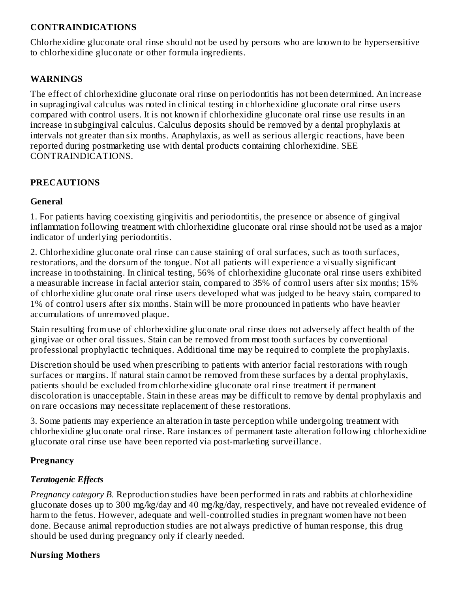### **CONTRAINDICATIONS**

Chlorhexidine gluconate oral rinse should not be used by persons who are known to be hypersensitive to chlorhexidine gluconate or other formula ingredients.

### **WARNINGS**

The effect of chlorhexidine gluconate oral rinse on periodontitis has not been determined. An increase in supragingival calculus was noted in clinical testing in chlorhexidine gluconate oral rinse users compared with control users. It is not known if chlorhexidine gluconate oral rinse use results in an increase in subgingival calculus. Calculus deposits should be removed by a dental prophylaxis at intervals not greater than six months. Anaphylaxis, as well as serious allergic reactions, have been reported during postmarketing use with dental products containing chlorhexidine. SEE CONTRAINDICATIONS.

### **PRECAUTIONS**

### **General**

1. For patients having coexisting gingivitis and periodontitis, the presence or absence of gingival inflammation following treatment with chlorhexidine gluconate oral rinse should not be used as a major indicator of underlying periodontitis.

2. Chlorhexidine gluconate oral rinse can cause staining of oral surfaces, such as tooth surfaces, restorations, and the dorsum of the tongue. Not all patients will experience a visually significant increase in toothstaining. In clinical testing, 56% of chlorhexidine gluconate oral rinse users exhibited a measurable increase in facial anterior stain, compared to 35% of control users after six months; 15% of chlorhexidine gluconate oral rinse users developed what was judged to be heavy stain, compared to 1% of control users after six months. Stain will be more pronounced in patients who have heavier accumulations of unremoved plaque.

Stain resulting from use of chlorhexidine gluconate oral rinse does not adversely affect health of the gingivae or other oral tissues. Stain can be removed from most tooth surfaces by conventional professional prophylactic techniques. Additional time may be required to complete the prophylaxis.

Discretion should be used when prescribing to patients with anterior facial restorations with rough surfaces or margins. If natural stain cannot be removed from these surfaces by a dental prophylaxis, patients should be excluded from chlorhexidine gluconate oral rinse treatment if permanent discoloration is unacceptable. Stain in these areas may be difficult to remove by dental prophylaxis and on rare occasions may necessitate replacement of these restorations.

3. Some patients may experience an alteration in taste perception while undergoing treatment with chlorhexidine gluconate oral rinse. Rare instances of permanent taste alteration following chlorhexidine gluconate oral rinse use have been reported via post-marketing surveillance.

## **Pregnancy**

## *Teratogenic Effects*

*Pregnancy category B.* Reproduction studies have been performed in rats and rabbits at chlorhexidine gluconate doses up to 300 mg/kg/day and 40 mg/kg/day, respectively, and have not revealed evidence of harm to the fetus. However, adequate and well-controlled studies in pregnant women have not been done. Because animal reproduction studies are not always predictive of human response, this drug should be used during pregnancy only if clearly needed.

#### **Nursing Mothers**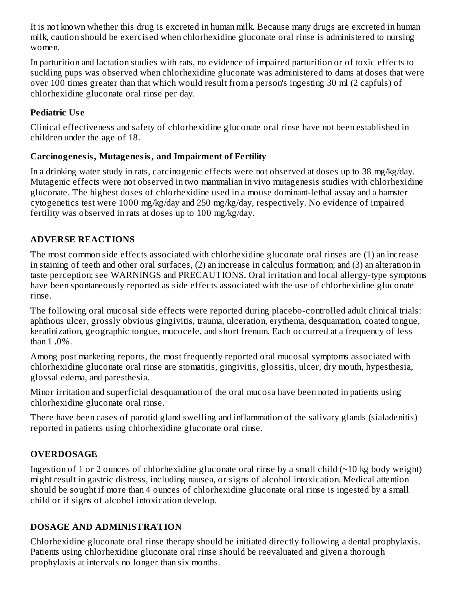It is not known whether this drug is excreted in human milk. Because many drugs are excreted in human milk, caution should be exercised when chlorhexidine gluconate oral rinse is administered to nursing women.

In parturition and lactation studies with rats, no evidence of impaired parturition or of toxic effects to suckling pups was observed when chlorhexidine gluconate was administered to dams at doses that were over 100 times greater than that which would result from a person's ingesting 30 ml (2 capfuls) of chlorhexidine gluconate oral rinse per day.

## **Pediatric Us e**

Clinical effectiveness and safety of chlorhexidine gluconate oral rinse have not been established in children under the age of 18.

## **Carcinogenesis, Mutagenesis, and Impairment of Fertility**

In a drinking water study in rats, carcinogenic effects were not observed at doses up to 38 mg/kg/day. Mutagenic effects were not observed in two mammalian in vivo mutagenesis studies with chlorhexidine gluconate. The highest doses of chlorhexidine used in a mouse dominant-lethal assay and a hamster cytogenetics test were 1000 mg/kg/day and 250 mg/kg/day, respectively. No evidence of impaired fertility was observed in rats at doses up to 100 mg/kg/day.

## **ADVERSE REACTIONS**

The most common side effects associated with chlorhexidine gluconate oral rinses are (1) an increase in staining of teeth and other oral surfaces, (2) an increase in calculus formation; and (3) an alteration in taste perception; see WARNINGS and PRECAUTIONS. Oral irritation and local allergy-type symptoms have been spontaneously reported as side effects associated with the use of chlorhexidine gluconate rinse.

The following oral mucosal side effects were reported during placebo-controlled adult clinical trials: aphthous ulcer, grossly obvious gingivitis, trauma, ulceration, erythema, desquamation, coated tongue, keratinization, geographic tongue, mucocele, and short frenum. Each occurred at a frequency of less than 1 **.**0%.

Among post marketing reports, the most frequently reported oral mucosal symptoms associated with chlorhexidine gluconate oral rinse are stomatitis, gingivitis, glossitis, ulcer, dry mouth, hypesthesia, glossal edema, and paresthesia.

Minor irritation and superficial desquamation of the oral mucosa have been noted in patients using chlorhexidine gluconate oral rinse.

There have been cases of parotid gland swelling and inflammation of the salivary glands (sialadenitis) reported in patients using chlorhexidine gluconate oral rinse.

## **OVERDOSAGE**

Ingestion of 1 or 2 ounces of chlorhexidine gluconate oral rinse by a small child  $(\sim 10 \text{ kg}$  body weight) might result in gastric distress, including nausea, or signs of alcohol intoxication. Medical attention should be sought if more than 4 ounces of chlorhexidine gluconate oral rinse is ingested by a small child or if signs of alcohol intoxication develop.

## **DOSAGE AND ADMINISTRATION**

Chlorhexidine gluconate oral rinse therapy should be initiated directly following a dental prophylaxis. Patients using chlorhexidine gluconate oral rinse should be reevaluated and given a thorough prophylaxis at intervals no longer than six months.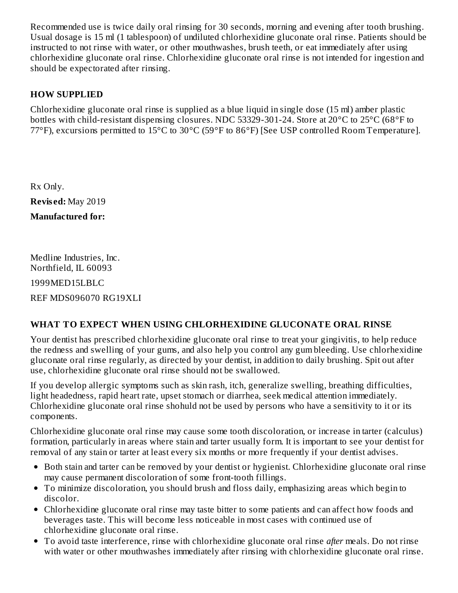Recommended use is twice daily oral rinsing for 30 seconds, morning and evening after tooth brushing. Usual dosage is 15 ml (1 tablespoon) of undiluted chlorhexidine gluconate oral rinse. Patients should be instructed to not rinse with water, or other mouthwashes, brush teeth, or eat immediately after using chlorhexidine gluconate oral rinse. Chlorhexidine gluconate oral rinse is not intended for ingestion and should be expectorated after rinsing.

## **HOW SUPPLIED**

Chlorhexidine gluconate oral rinse is supplied as a blue liquid in single dose (15 ml) amber plastic bottles with child-resistant dispensing closures. NDC 53329-301-24. Store at 20°C to 25°C (68°F to 77°F), excursions permitted to 15°C to 30°C (59°F to 86°F) [See USP controlled Room Temperature].

Rx Only. **Revis ed:** May 2019 **Manufactured for:**

Medline Industries, Inc. Northfield, IL 60093 1999MED15LBLC REF MDS096070 RG19XLI

## **WHAT TO EXPECT WHEN USING CHLORHEXIDINE GLUCONATE ORAL RINSE**

Your dentist has prescribed chlorhexidine gluconate oral rinse to treat your gingivitis, to help reduce the redness and swelling of your gums, and also help you control any gum bleeding. Use chlorhexidine gluconate oral rinse regularly, as directed by your dentist, in addition to daily brushing. Spit out after use, chlorhexidine gluconate oral rinse should not be swallowed.

If you develop allergic symptoms such as skin rash, itch, generalize swelling, breathing difficulties, light headedness, rapid heart rate, upset stomach or diarrhea, seek medical attention immediately. Chlorhexidine gluconate oral rinse shohuld not be used by persons who have a sensitivity to it or its components.

Chlorhexidine gluconate oral rinse may cause some tooth discoloration, or increase in tarter (calculus) formation, particularly in areas where stain and tarter usually form. It is important to see your dentist for removal of any stain or tarter at least every six months or more frequently if your dentist advises.

- Both stain and tarter can be removed by your dentist or hygienist. Chlorhexidine gluconate oral rinse may cause permanent discoloration of some front-tooth fillings.
- To minimize discoloration, you should brush and floss daily, emphasizing areas which begin to discolor.
- Chlorhexidine gluconate oral rinse may taste bitter to some patients and can affect how foods and beverages taste. This will become less noticeable in most cases with continued use of chlorhexidine gluconate oral rinse.
- To avoid taste interference, rinse with chlorhexidine gluconate oral rinse *after* meals. Do not rinse with water or other mouthwashes immediately after rinsing with chlorhexidine gluconate oral rinse.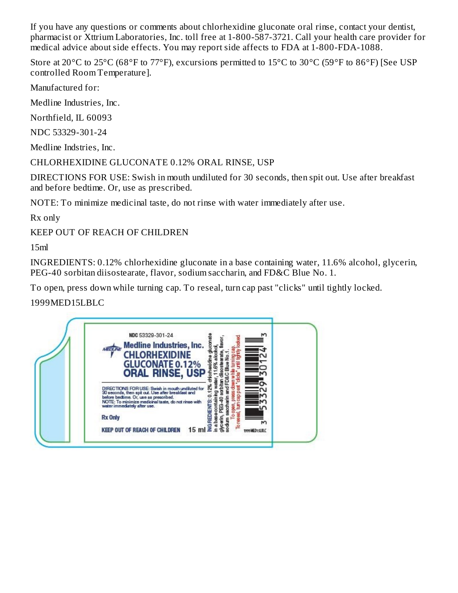If you have any questions or comments about chlorhexidine gluconate oral rinse, contact your dentist, pharmacist or Xttrium Laboratories, Inc. toll free at 1-800-587-3721. Call your health care provider for medical advice about side effects. You may report side affects to FDA at 1-800-FDA-1088.

Store at 20°C to 25°C (68°F to 77°F), excursions permitted to 15°C to 30°C (59°F to 86°F) [See USP controlled Room Temperature].

Manufactured for:

Medline Industries, Inc.

Northfield, IL 60093

NDC 53329-301-24

Medline Indstries, Inc.

CHLORHEXIDINE GLUCONATE 0.12% ORAL RINSE, USP

DIRECTIONS FOR USE: Swish in mouth undiluted for 30 seconds, then spit out. Use after breakfast and before bedtime. Or, use as prescribed.

NOTE: To minimize medicinal taste, do not rinse with water immediately after use.

Rx only

KEEP OUT OF REACH OF CHILDREN

15ml

INGREDIENTS: 0.12% chlorhexidine gluconate in a base containing water, 11.6% alcohol, glycerin, PEG-40 sorbitan diisostearate, flavor, sodium saccharin, and FD&C Blue No. 1.

To open, press down while turning cap. To reseal, turn cap past "clicks" until tightly locked.

1999MED15LBLC

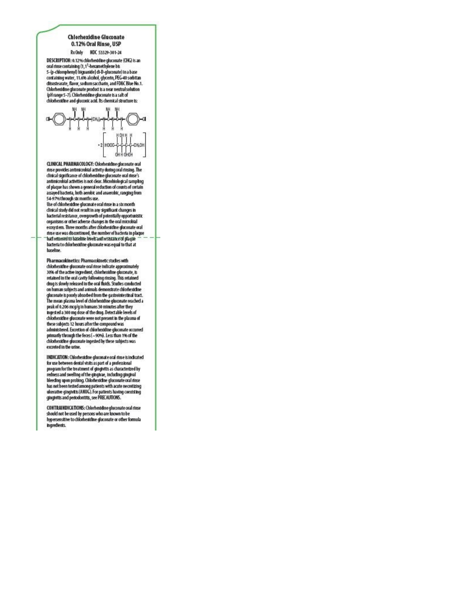#### Chlorhexidine Gluconate 0.12% Oral Rinse, USP

RxOnly NDC 53329-301-24

DESCRIPTION: 0.12% chlorheddine gluconate (CHG) is an oral director but the containing (1,1<sup>1</sup>-hexamethylene bis<br>5-ip-chlorophenyl) biguanide] di-D-gluconate) in a base<br>containing water, 11.6% alcohol, glycerin, PEG-40 sorbitan disostearate, flavor, so dium saccharin, and FDBC Blue No.1. Chlorheddine gluconate product is a near neutral solution (pH range 5-7). Chlorheddine gluconate is a salt of chlorhexidine and gluconic acid. Its chemical structure is:



CLINICAL PHARMACOLOGY: Chlorhead the gluconate oral rinse provides antimicrobial activity during oral rinsing. The clinical significance of chlorhesidine gluconate oral rinse's antimicrobial activities is not clear. Microbiological sampling<br>of plaque has shown a general reduction of counts of certain<br>assayed bacteria, both aerobic and anaerobic, ranging from 54-97% through stc months use.

Use of chlorhead ine gluconate oral rinse in a stomonth dinical study did not result in any significant changes in<br>bacterial resistance, overgrowth of potentially opportunistic organisms or other adverse changes in the oral microbial ecosystem. Three months after chlorhead he gluconate oral rinse use was discontinued, the number of bacteria in plaque had returned to baseline levels and resistance of plaque bacteria to chlorhexidine gluconate was equal to that at haseline.

Pharmacokinetics: Pharmacokinetic studies with chlorhexidine gluconate oral rinse indicate approximately 30% of the active ingredient, chlorhexidine gluconate, is retained in the oral cavity following rinsing. This retained<br>drug is slowly released in the oral fluids. Studies conducted on human subjects and animals demonstrate chlorheatchne gluconate is poorly absorbed from the gastrointestinal tract.<br>The mean plasma level of chlorhesidine gluconate reached a<br>peak of 0.206 mcg/g in humans 30 minutes after they Ingested a 300 mg dose of the chug. Detectable levels of chlorhexidine gluconate were not present in the plasma of these subjects 12 hours after the compound was<br>administered. Excretion of chlorhexidine gluconate occurred primarily through the feces (~90%). Less than 1% of the chlorhexidine gluconate ingested by these subjects was excreted in the urine.

INDICATION: Chlorheaddine gluconate oral rinse is indicated for use between dental visits as part of a professional program for the treatment of gingivitis as characterized by popularity of the gridplear, including gridplear<br>redness and swelling of the grigpleae, including gridplear<br>beeding upon probing. Chiomesidine glucorate oral rinse<br>has not been tested among patients with acute necrotizing<br>

CONTRAINDICATIONS: Chlorhestdine gluconate oral rinse should not be used by persons who are known to be<br>hypersensitive to chlorhead he gluconate or other formula Ingredients.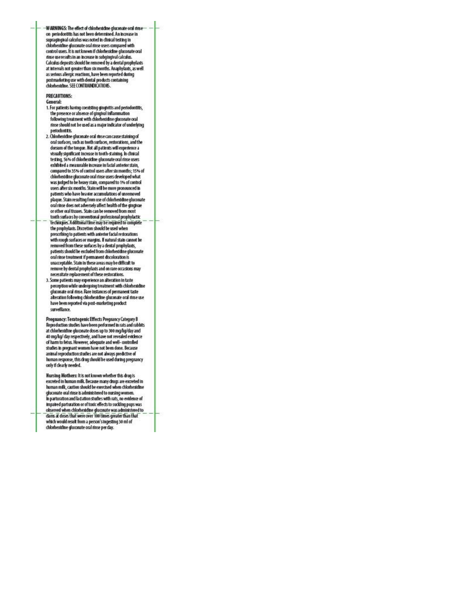-WARNINGS: The effect of chlorhexicine gluconate oral rinse<br>on-periodontitis has not been determined. An increase in supragingival calculus was noted in clinical testing in chlorhexidine gluconate oral rinse users compared with control users. It is not known if chlorheaddine gluconate oral -<br>The useresults in an increase in subgingival calculus.<br>Calculus deposits should be removed by a dental prophylaxis at intervals not greater than stx months. Anaphylaxis, as well as serious allergic reactions, have been reported during<br>postmarketing use with dental products containing chlorhexidine, SEE CONTRAINDICATIONS.

#### **PRECAUTIONS:**

**General:** 

- venerar:<br>1. For patients having coexisting gingivitis and periodontitis,<br>the presence or absence of gingival inflammation following treatment with chlorheddine gluconate oral rinse should not be used as a major indicator of underlying periodontitis.
- 2. Chlorhexichne gluconate oral rinse can cause staining of oral surfaces, such as tooth surfaces, restorations, and the dorsum of the tongue. Not all patients will experience a visually significant increase in tooth-staining. In clinical testing, 56% of chlorhexidine gluconate oral rinse users exhibited a measurable increase in facial anterior stain, compared to 35% of control users after six months; 15% of chlorhestdine gluconate oral rinse users developed what was judged to be heavy stain, compared to 1% of control users after six months. Stain will be more pronounced in patients who have heavier accumulations of unremoved plaque. Stain resulting from use of chlorhesidine gluconate oral rinse does not adversely affect health of the gingivae or other oral tissues. Stain can be removed from most tooth surfaces by conventional professional prophylactic Techniques. A ddittonal time may be required to complete the prophylaxis. Discretion should be used when prescribing to patients with anterior facial restorations with rough surfaces or margins. If natural stain cannot be removed from these surfaces by a dental prophylaxis, patients should be excluded from chlorhesidine gluconate oral rinse treatment if permanent discoloration is unacceptable. Stain in these areas may be clifficult to remove by dental prophylaxis and on rare occasions may necessitate replacement of these restorations.
- 3. Some patients may experience an alteration in taste perception while undergoing treatment with chlorheaddine gluconate oral rinse. Rare instances of permanent taste alteration following chlorhexidine gluconate oral rinse use<br>have been reported via post-marketing product surveillance.

Pregnancy: Teratogenic Effects Pregnancy Category B<br>Reproduction studies have been performed in rats and rabbits at chlorhexidine gluconate doses up to 300 mg/log/day and 40 mg/lg/ day respectively, and have not revealed evidence of harm to fetus. However, adequate and well- controlled studies in pregnant women have not been done. Because animal reproduction studies are not always predictive of human response, this chug should be used during pregnancy only if clearly needed.

Hursing Mothers: It is not known whether this drug is excreted in human milk. Because many chugs are excreted in human milk, caution should be exercised when chlorhexidine gluconate oral rinse is administered to nursing women. in parturation and lact ation studies with rats, no evidence of Impaired parturation or of toxic effects to suckling pups was observed when chlorhead the gluconate was administered to clams at doses that were over 100 times greater than that<br>which would result from a person's ingesting 30 ml of chlorhexidine gluconate oral rinse per day.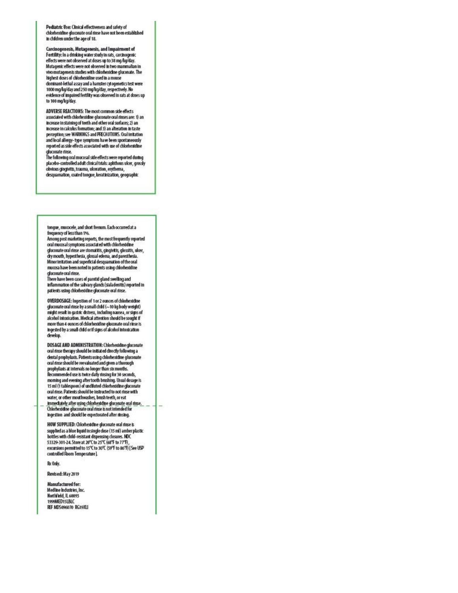Pediatric Use: Clinical effectiveness and safety of chlorhexidine gluconate oral rinse have not been established In children under the age of 18.

Carcinogenesis, Mutagenesis, and Impairment of<br>Fertility: In a drinking water study in rats, carcinogenic<br>effects were not observed at doses up to 38 mg/kg/day. Mutagenic effects were not observed in two mammalian in<br>who mutagenesis studies with chlorhexidine gluconate. The highest doses of chlorhexidine used in a mouse dominant-lethal assay and a hamster cytogenetics test were 1000 mg/kg/day and 250 mg/kg/day, respectively. No<br>evidence of impaired fertility was observed in rats at doses up to 100 mg/kg/day.

ADVERSE REACTIONS: The most common side effects associated with chlorhestdine gluconate oral rinses are: 1) an Increase in staining of teeth and other oral surfaces; 2) an Increase in calculus formation; and 3) an alteration in taste perception; see WARNINGS and PRECAUTIONS. Oral in Itation and local allergy-type symptoms have been spontaneously reported as side effects associated with use of chlorhead ine gluconate rinse.

The following oral mucosal side effects were reported during placebo-controlled adult clinical trials: aphthous ulcer, grossly obvious gingivitis, trauma, ulceration, erythema,<br>desquamation, coated tongue, keratinization, geographic

tongue, mucocele, and short frenum. Each occurred at a frequency of less than 1%.

Among post marketing reports, the most frequently reported<br>oral mucosal symptoms associated with chlorhexidine gluconate oral rinse are stomatitis, gingivitis, glossitis, ulcer, dry mouth, hypesthesia, glossal edema, and paresthesia. Minor initation and superficial desquamation of the oral<br>mucosa have been noted in patients using chlorhexidine

gluconate oral rinse.<br>There have been cases of parotid gland swelling and<br>inflammation of the salvary glands (sialadenitis) reported in patients using chlorhesidine gluconate oral rinse.

OVERDOSAGE: Ingestion of 1 or 2 ounces of chlorheaddine gluconate oral rinse by a small child (~10 kg body weight) might result in gastric distress, including nausea, or signs of alcohol Intoxication. Medical attention should be sought if more than 4 ounces of chlorhexidine gluconate oral rinse is ingested by a small child or if signs of alcohol intoxication develop.

DOSAGE AND ADMINISTRATION: Chlorhesidine gluconate oral rinse therapy should be initiated directly following a dental prophylaxis. Patients using chlorhexidine gluconate<br>oral rinse should be reevaluated and given a thorough prophylaxis at intervals no longer than str months.<br>Recommended use is twice daily rinsing for 30 seconds, moming and evening after tooth brushing. Usual dosage is<br>15 ml (1 tablespoon) of undfluted chlorheddine gluconate oral rinse. Patients should be instructed to not rinse with water, or other mouthwashes, brush teeth, or eat immediately after using chlorhead ine gluconate oral rinse. Chlorhexidine gluconate oral rinse is not intended for ingestion and should be expectorated after rinsing.

HOW SUPPLIED: Chlorhead the gluconate oral rinse is supplied as a blue liquid in single dose (15 ml) amber plastic bottles with child-resistant dispensing closures. NDC 53329-301-24. Store at 20°C to 25℃ (68°F to 77°F), excursions permitted to 15°C to 30°C (59°F to 86°F) [See USP controlled Room Temperature].

Rx Only.

Revised: May 2019

Manufactured for: Medline Industries, Inc. Northfield, IL 60093 1999MED15LBLC REF MDS096070 RG19XLI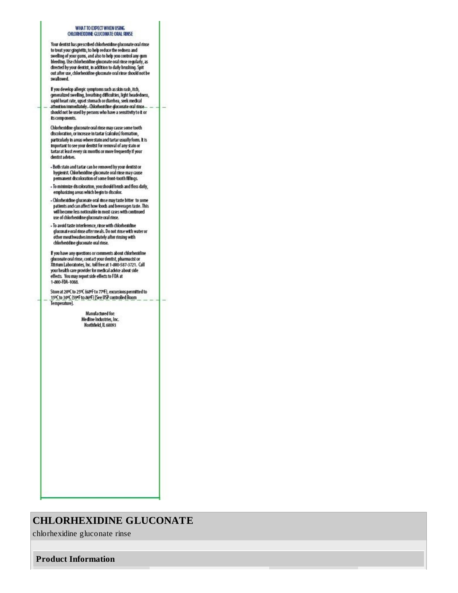#### WHAT TO EXPECT WHEN USING CHLORHEIDING GLUCONATE ORAL RINSE

Your dentist has prescribed chlorhexidine gluconate oral rinse For the states and physics, to help reduce the reduces and<br>to treat your ging inits, to help reduce the reduces and<br>swelling of your gums, and also to help you control any gum<br>bleeding. Use chlorhexidine gluconate oral rin clirected by your dentist, in addition to daily brushing. Spit out after use, chlorhexidine gluconate oral rinse should not be swallowed.

If you develop allergic symptoms such as skin rash, itch,<br>generalized swelling, breathing difficulties, light headedness, ripid heart rate, upset stomach ordiamhea, seek medical<br>attention immediately. Chlorheiddine gluconate oral rinse should not be used by persons who have a sensitivity to it or its components.

Chlorhexidine gluconate oral rinse may cause some tooth discoloration, or increase in tartar (calculus) formation, particularly in areas where stain and tartar usually form. It is important to see your dentist for removal of any stain or tartar at least every six months or more frequently if your dentist advises.

- Both stain and tartar can be removed by your dentist or hygienist. Chiorhexidine gluconate oral rinse may cause permanent discoloration of some front-tooth fillings.
- To minimize discoloration, you should brush and floss daily, emphasizing areas which begin to discolor.
- Chlorheaddine gluconate oral rinse may taste bitter to some patients and can affect how foods and beverages taste. This will become less noticeable in most cases with continued use of chlorhesidine gluconate oral rinse.
- To avoid taste interference, rinse with chlorhead ine gluconate oral rinse after meals. Do not rinse with water or other mouthwashes immediately after rinsing with chlorheddine gluconate oral rinse.

If you have any questions or comments about chlorhexidine gluconate oral rinse, contact your dentist, pharmacist or Xttnum Laboratories, Inc. toll free at 1-800-587-3721. Call your health care provider for medical advice about side effects. You may report side effects to FDA at 1-800-FDA-1088.

Store at 20°C to 25°C (68°F to 77°F), excursions permitted to 15°C to 30°C (59°F to 86°F) [See USP controlled Room Temperature].

> Manufactured for: Medine Industries, Inc. Horthfield, IL 60093

## **CHLORHEXIDINE GLUCONATE**

chlorhexidine gluconate rinse

**Product Information**